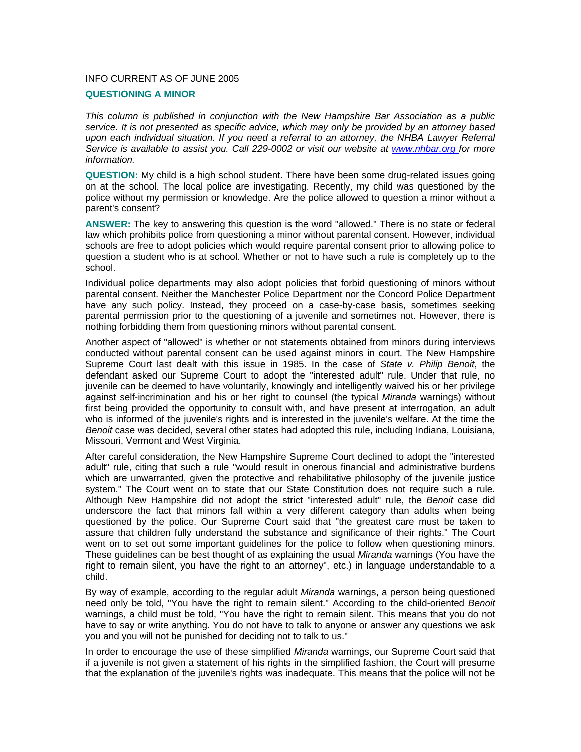## INFO CURRENT AS OF JUNE 2005

## **QUESTIONING A MINOR**

*This column is published in conjunction with the New Hampshire Bar Association as a public service. It is not presented as specific advice, which may only be provided by an attorney based upon each individual situation. If you need a referral to an attorney, the NHBA Lawyer Referral Service is available to assist you. Call 229-0002 or visit our website at www.nhbar.org for more information.* 

**QUESTION:** My child is a high school student. There have been some drug-related issues going on at the school. The local police are investigating. Recently, my child was questioned by the police without my permission or knowledge. Are the police allowed to question a minor without a parent's consent?

**ANSWER:** The key to answering this question is the word "allowed." There is no state or federal law which prohibits police from questioning a minor without parental consent. However, individual schools are free to adopt policies which would require parental consent prior to allowing police to question a student who is at school. Whether or not to have such a rule is completely up to the school.

Individual police departments may also adopt policies that forbid questioning of minors without parental consent. Neither the Manchester Police Department nor the Concord Police Department have any such policy. Instead, they proceed on a case-by-case basis, sometimes seeking parental permission prior to the questioning of a juvenile and sometimes not. However, there is nothing forbidding them from questioning minors without parental consent.

Another aspect of "allowed" is whether or not statements obtained from minors during interviews conducted without parental consent can be used against minors in court. The New Hampshire Supreme Court last dealt with this issue in 1985. In the case of *State v. Philip Benoit*, the defendant asked our Supreme Court to adopt the "interested adult" rule. Under that rule, no juvenile can be deemed to have voluntarily, knowingly and intelligently waived his or her privilege against self-incrimination and his or her right to counsel (the typical *Miranda* warnings) without first being provided the opportunity to consult with, and have present at interrogation, an adult who is informed of the juvenile's rights and is interested in the juvenile's welfare. At the time the *Benoit* case was decided, several other states had adopted this rule, including Indiana, Louisiana, Missouri, Vermont and West Virginia.

After careful consideration, the New Hampshire Supreme Court declined to adopt the "interested adult" rule, citing that such a rule "would result in onerous financial and administrative burdens which are unwarranted, given the protective and rehabilitative philosophy of the juvenile justice system." The Court went on to state that our State Constitution does not require such a rule. Although New Hampshire did not adopt the strict "interested adult" rule, the *Benoit* case did underscore the fact that minors fall within a very different category than adults when being questioned by the police. Our Supreme Court said that "the greatest care must be taken to assure that children fully understand the substance and significance of their rights." The Court went on to set out some important guidelines for the police to follow when questioning minors. These guidelines can be best thought of as explaining the usual *Miranda* warnings (You have the right to remain silent, you have the right to an attorney", etc.) in language understandable to a child.

By way of example, according to the regular adult *Miranda* warnings, a person being questioned need only be told, "You have the right to remain silent." According to the child-oriented *Benoit*  warnings, a child must be told, "You have the right to remain silent. This means that you do not have to say or write anything. You do not have to talk to anyone or answer any questions we ask you and you will not be punished for deciding not to talk to us."

In order to encourage the use of these simplified *Miranda* warnings, our Supreme Court said that if a juvenile is not given a statement of his rights in the simplified fashion, the Court will presume that the explanation of the juvenile's rights was inadequate. This means that the police will not be